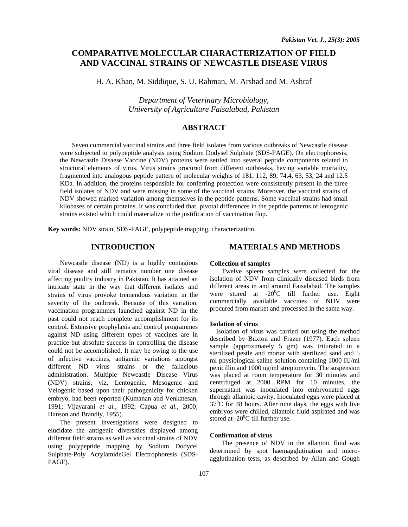# **COMPARATIVE MOLECULAR CHARACTERIZATION OF FIELD AND VACCINAL STRAINS OF NEWCASTLE DISEASE VIRUS**

H. A. Khan, M. Siddique, S. U. Rahman, M. Arshad and M. Ashraf

*Department of Veterinary Microbiology, University of Agriculture Faisalabad, Pakistan* 

## **ABSTRACT**

Seven commercial vaccinal strains and three field isolates from various outbreaks of Newcastle disease were subjected to polypeptide analysis using Sodium Dodysel Sulphate (SDS-PAGE). On electrophoresis, the Newcastle Disaese Vaccine (NDV) proteins were settled into several peptide components related to structural elements of virus. Virus strains procured from different outbreaks, having variable mortality, fragmented into analogous peptide pattern of molecular weights of 181, 112, 89, 74.4, 63, 53, 24 and 12.5 KDa. In addition, the proteins responsible for conferring protection were consistently present in the three field isolates of NDV and were missing in some of the vaccinal strains. Moreover, the vaccinal strains of NDV showed marked variation among themselves in the peptide patterns. Some vaccinal strains had small kilobases of certain proteins. It was concluded that pivotal differences in the peptide patterns of lentogenic strains existed which could materialize to the justification of vaccination flop.

**Key words:** NDV strain, SDS-PAGE, polypeptide mapping, characterization.

## **INTRODUCTION**

Newcastle disease (ND) is a highly contagious viral disease and still remains number one disease affecting poultry industry in Pakistan. It has attained an intricate state in the way that different isolates and strains of virus provoke tremendous variation in the severity of the outbreak. Because of this variation, vaccination programmes launched against ND in the past could not reach complete accomplishment for its control. Extensive prophylaxis and control programmes against ND using different types of vaccines are in practice but absolute success in controlling the disease could not be accomplished. It may be owing to the use of infective vaccines, antigenic variations amongst different ND virus strains or the fallacious administration. Multiple Newcastle Disease Virus (NDV) strains, viz, Lentogenic, Mesogenic and Velogenic based upon their pathogenicity for chicken embryo, had been reported (Kumanan and Venkatesan, 1991; Vijayarani *et al.*, 1992; Capua *et al.*, 2000; Hanson and Brandly, 1955).

The present investigations were designed to elucidate the antigenic diversities displayed among different field strains as well as vaccinal strains of NDV using polypeptide mapping by Sodium Dodycel Sulphate-Poly AcrylamideGel Electrophoresis (SDS-PAGE).

## **MATERIALS AND METHODS**

#### **Collection of samples**

Twelve spleen samples were collected for the isolation of NDV from clinically diseased birds from different areas in and around Faisalabad. The samples were stored at  $-20^{\circ}$ C till further use. Eight commercially available vaccines of NDV were procured from market and processed in the same way.

#### **Isolation of virus**

Isolation of virus was carried out using the method described by Buxton and Frazer (1977). Each spleen sample (approximately 5 gm) was triturated in a sterilized pestle and mortar with sterilized sand and 5 ml physiological saline solution containing 1000 IU/ml penicillin and 1000 ug/ml streptomycin. The suspension was placed at room temperature for 30 minutes and centrifuged at 2000 RPM for 10 minutes, the supernatant was inoculated into embryonated eggs through allantoic cavity. Inoculated eggs were placed at  $37^0$ C for 48 hours. After nine days, the eggs with live embryos were chilled, allantoic fluid aspirated and was stored at -20<sup>0</sup>C till further use.

#### **Confirmation of virus**

The presence of NDV in the allantoic fluid was determined by spot haemagglutination and microagglutination tests, as described by Allan and Gough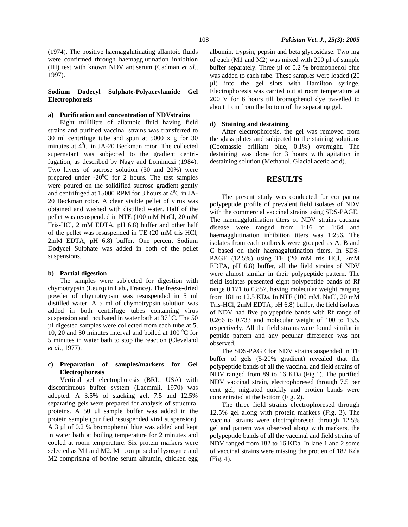(1974). The positive haemagglutinating allantoic fluids were confirmed through haemagglutination inhibition (HI) test with known NDV antiserum (Cadman *et al*., 1997).

### **Sodium Dodecyl Sulphate-Polyacrylamide Gel Electrophoresis**

#### **a) Purification and concentration of NDVstrains**

Eight millilitre of allantoic fluid having field strains and purified vaccinal strains was transferred to 30 ml centrifuge tube and spun at 5000 x g for 30 minutes at  $4^0C$  in JA-20 Beckman rotor. The collected supernatant was subjected to the gradient centrifugation, as described by Nagy and Lominiczi (1984). Two layers of sucrose solution (30 and 20%) were prepared under  $-20^{\circ}$ C for 2 hours. The test samples were poured on the solidified sucrose gradient gently and centrifuged at 15000 RPM for 3 hours at  $4^0C$  in JA-20 Beckman rotor. A clear visible pellet of virus was obtained and washed with distilled water. Half of the pellet was resuspended in NTE (100 mM NaCl, 20 mM Tris-HCl, 2 mM EDTA, pH 6.8) buffer and other half of the pellet was resuspended in TE (20 mM tris HCl, 2mM EDTA, pH 6.8) buffer. One percent Sodium Dodycel Sulphate was added in both of the pellet suspensions.

#### **b) Partial digestion**

The samples were subjected for digestion with chymotrypsin (Leurquin Lab., France). The freeze-dried powder of chymotrypsin was resuspended in 5 ml distilled water. A 5 ml of chymotrypsin solution was added in both centrifuge tubes containing virus suspension and incubated in water bath at  $37 \,^0C$ . The 50 µl digested samples were collected from each tube at 5, 10, 20 and 30 minutes interval and boiled at 100 $\,^0C$  for 5 minutes in water bath to stop the reaction (Cleveland *et al*., 1977).

## **c) Preparation of samples/markers for Gel Electrophoresis**

Vertical gel electrophoresis (BRL, USA) with discontinuous buffer system (Laemmli, 1970) was adopted. A 3.5% of stacking gel, 7.5 and 12.5% separating gels were prepared for analysis of structural proteins. A 50 µl sample buffer was added in the protein sample (purified resuspended viral suspension). A 3 µl of 0.2 % bromophenol blue was added and kept in water bath at boiling temperature for 2 minutes and cooled at room temperature. Six protein markers were selected as M1 and M2. M1 comprised of lysozyme and M2 comprising of bovine serum albumin, chicken egg

albumin, trypsin, pepsin and beta glycosidase. Two mg of each (M1 and M2) was mixed with  $200 \mu$ l of sample buffer separately. Three µl of 0.2 % bromophenol blue was added to each tube. These samples were loaded (20 µl) into the gel slots with Hamilton syringe. Electrophoresis was carried out at room temperature at 200 V for 6 hours till bromophenol dye travelled to about 1 cm from the bottom of the separating gel.

### **d) Staining and destaining**

After electrophoresis, the gel was removed from the glass plates and subjected to the staining solutions (Coomassie brilliant blue, 0.1%) overnight. The destaining was done for 3 hours with agitation in destaining solution (Methanol, Glacial acetic acid).

## **RESULTS**

The present study was conducted for comparing polypeptide profile of prevalent field isolates of NDV with the commercial vaccinal strains using SDS-PAGE. The haemagglutination titers of NDV strains causing disease were ranged from 1:16 to 1:64 and haemagglutination inhibition titers was 1:256. The isolates from each outbreak were grouped as A, B and C based on their haemagglutination titers. In SDS-PAGE (12.5%) using TE (20 mM tris HCl, 2mM EDTA, pH 6.8) buffer, all the field strains of NDV were almost similar in their polypeptide pattern. The field isolates presented eight polypeptide bands of Rf range 0.171 to 0.857, having molecular weight ranging from 181 to 12.5 KDa. In NTE (100 mM. NaCl, 20 mM Tris-HCl, 2mM EDTA, pH 6.8) buffer, the field isolates of NDV had five polypeptide bands with Rf range of 0.266 to 0.733 and molecular weight of 100 to 13.5, respectively. All the field strains were found similar in peptide pattern and any peculiar difference was not observed.

The SDS-PAGE for NDV strains suspended in TE buffer of gels (5-20% gradient) revealed that the polypeptide bands of all the vaccinal and field strains of NDV ranged from 89 to 16 KDa (Fig.1). The purified NDV vaccinal strain, electrophoresed through 7.5 per cent gel, migrated quickly and protien bands were concentrated at the bottom (Fig. 2).

The three field strains electrophoresed through 12.5% gel along with protein markers (Fig. 3). The vaccinal strains were electrophoresed through 12.5% gel and pattern was observed along with markers, the polypeptide bands of all the vaccinal and field strains of NDV ranged from 182 to 16 KDa. In lane 1 and 2 some of vaccinal strains were missing the protien of 182 Kda (Fig. 4).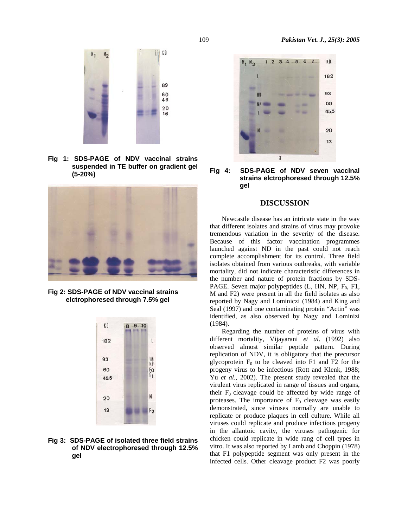

**Fig 1: SDS-PAGE of NDV vaccinal strains suspended in TE buffer on gradient gel (5-20%)** 



**Fig 2: SDS-PAGE of NDV vaccinal strains elctrophoresed through 7.5% gel** 



**Fig 3: SDS-PAGE of isolated three field strains of NDV electrophoresed through 12.5% gel** 





## **DISCUSSION**

Newcastle disease has an intricate state in the way that different isolates and strains of virus may provoke tremendous variation in the severity of the disease. Because of this factor vaccination programmes launched against ND in the past could not reach complete accomplishment for its control. Three field isolates obtained from various outbreaks, with variable mortality, did not indicate characteristic differences in the number and nature of protein fractions by SDS-PAGE. Seven major polypeptides  $(L, HN, NP, F_0, F1, F)$ M and F2) were present in all the field isolates as also reported by Nagy and Lominiczi (1984) and King and Seal (1997) and one contaminating protein "Actin" was identified, as also observed by Nagy and Lominizi (1984).

Regarding the number of proteins of virus with different mortality, Vijayarani *et al*. (1992) also observed almost similar peptide pattern. During replication of NDV, it is obligatory that the precursor glycoprotein  $F_0$  to be cleaved into F1 and F2 for the progeny virus to be infectious (Rott and Klenk, 1988; Yu *et al*., 2002). The present study revealed that the virulent virus replicated in range of tissues and organs, their  $F_0$  cleavage could be affected by wide range of proteases. The importance of  $F_0$  cleavage was easily demonstrated, since viruses normally are unable to replicate or produce plaques in cell culture. While all viruses could replicate and produce infectious progeny in the allantoic cavity, the viruses pathogenic for chicken could replicate in wide rang of cell types in vitro. It was also reported by Lamb and Choppin (1978) that F1 polypeptide segment was only present in the infected cells. Other cleavage product F2 was poorly